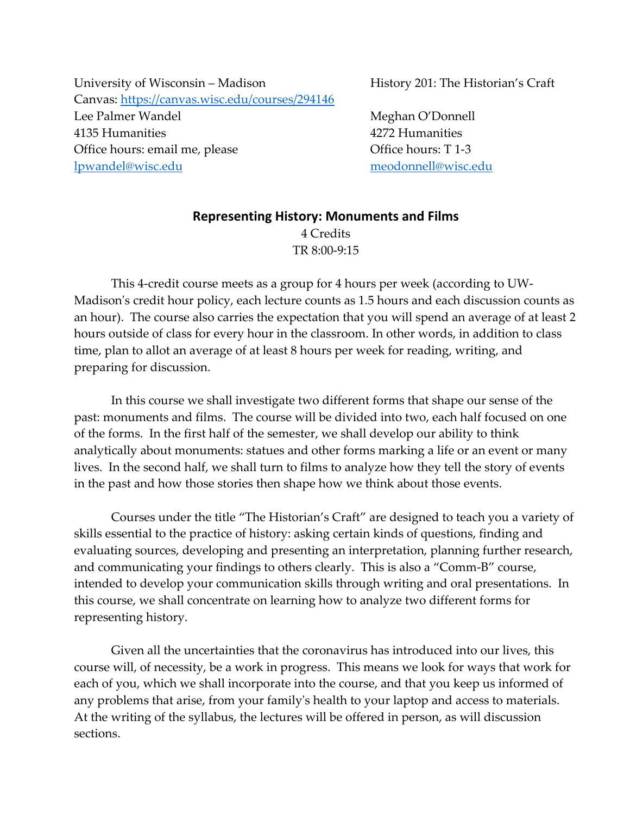University of Wisconsin – Madison  **History 201: The Historian's Craft** Canvas: https://canvas.wisc.edu/courses/294146 Lee Palmer Wandel **1988** Meghan O'Donnell 4135 Humanities 4272 Humanities Office hours: email me, please Office hours: T 1‐3 lpwandel@wisc.edu meodonnell@wisc.edu

# **Representing History: Monuments and Films** 4 Credits TR 8:00‐9:15

This 4‐credit course meets as a group for 4 hours per week (according to UW‐ Madison's credit hour policy, each lecture counts as 1.5 hours and each discussion counts as an hour). The course also carries the expectation that you will spend an average of at least 2 hours outside of class for every hour in the classroom. In other words, in addition to class time, plan to allot an average of at least 8 hours per week for reading, writing, and preparing for discussion.

In this course we shall investigate two different forms that shape our sense of the past: monuments and films. The course will be divided into two, each half focused on one of the forms. In the first half of the semester, we shall develop our ability to think analytically about monuments: statues and other forms marking a life or an event or many lives. In the second half, we shall turn to films to analyze how they tell the story of events in the past and how those stories then shape how we think about those events.

Courses under the title "The Historian's Craft" are designed to teach you a variety of skills essential to the practice of history: asking certain kinds of questions, finding and evaluating sources, developing and presenting an interpretation, planning further research, and communicating your findings to others clearly. This is also a "Comm‐B" course, intended to develop your communication skills through writing and oral presentations. In this course, we shall concentrate on learning how to analyze two different forms for representing history.

Given all the uncertainties that the coronavirus has introduced into our lives, this course will, of necessity, be a work in progress. This means we look for ways that work for each of you, which we shall incorporate into the course, and that you keep us informed of any problems that arise, from your familyʹs health to your laptop and access to materials. At the writing of the syllabus, the lectures will be offered in person, as will discussion sections.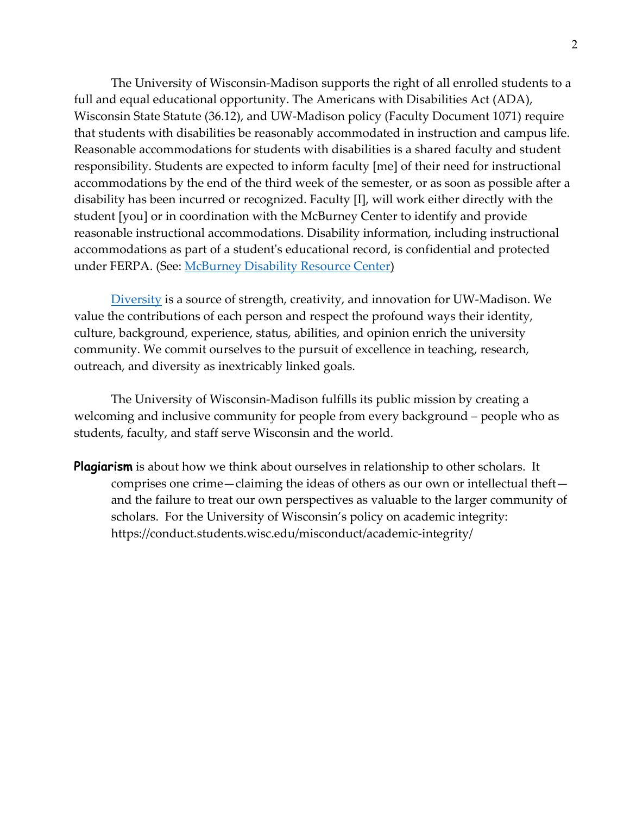The University of Wisconsin‐Madison supports the right of all enrolled students to a full and equal educational opportunity. The Americans with Disabilities Act (ADA), Wisconsin State Statute (36.12), and UW‐Madison policy (Faculty Document 1071) require that students with disabilities be reasonably accommodated in instruction and campus life. Reasonable accommodations for students with disabilities is a shared faculty and student responsibility. Students are expected to inform faculty [me] of their need for instructional accommodations by the end of the third week of the semester, or as soon as possible after a disability has been incurred or recognized. Faculty [I], will work either directly with the student [you] or in coordination with the McBurney Center to identify and provide reasonable instructional accommodations. Disability information, including instructional accommodations as part of a studentʹs educational record, is confidential and protected under FERPA. (See: McBurney Disability Resource Center)

Diversity is a source of strength, creativity, and innovation for UW-Madison. We value the contributions of each person and respect the profound ways their identity, culture, background, experience, status, abilities, and opinion enrich the university community. We commit ourselves to the pursuit of excellence in teaching, research, outreach, and diversity as inextricably linked goals.

The University of Wisconsin‐Madison fulfills its public mission by creating a welcoming and inclusive community for people from every background – people who as students, faculty, and staff serve Wisconsin and the world.

**Plagiarism** is about how we think about ourselves in relationship to other scholars. It comprises one crime—claiming the ideas of others as our own or intellectual theft and the failure to treat our own perspectives as valuable to the larger community of scholars. For the University of Wisconsin's policy on academic integrity: https://conduct.students.wisc.edu/misconduct/academic‐integrity/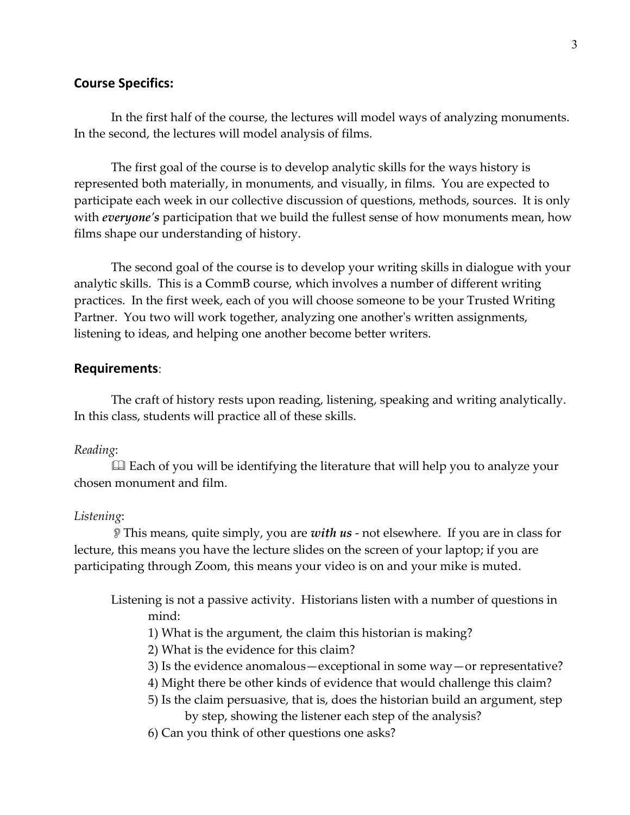### **Course Specifics:**

In the first half of the course, the lectures will model ways of analyzing monuments. In the second, the lectures will model analysis of films.

The first goal of the course is to develop analytic skills for the ways history is represented both materially, in monuments, and visually, in films. You are expected to participate each week in our collective discussion of questions, methods, sources. It is only with *everyoneʹs* participation that we build the fullest sense of how monuments mean, how films shape our understanding of history.

The second goal of the course is to develop your writing skills in dialogue with your analytic skills. This is a CommB course, which involves a number of different writing practices. In the first week, each of you will choose someone to be your Trusted Writing Partner. You two will work together, analyzing one another's written assignments, listening to ideas, and helping one another become better writers.

#### **Requirements**:

The craft of history rests upon reading, listening, speaking and writing analytically. In this class, students will practice all of these skills.

#### *Reading*:

 Each of you will be identifying the literature that will help you to analyze your chosen monument and film.

#### *Listening*:

This means, quite simply, you are *with us* ‐ not elsewhere. If you are in class for lecture, this means you have the lecture slides on the screen of your laptop; if you are participating through Zoom, this means your video is on and your mike is muted.

Listening is not a passive activity. Historians listen with a number of questions in mind:

- 1) What is the argument, the claim this historian is making?
- 2) What is the evidence for this claim?
- 3) Is the evidence anomalous—exceptional in some way—or representative?
- 4) Might there be other kinds of evidence that would challenge this claim?
- 5) Is the claim persuasive, that is, does the historian build an argument, step by step, showing the listener each step of the analysis?
- 6) Can you think of other questions one asks?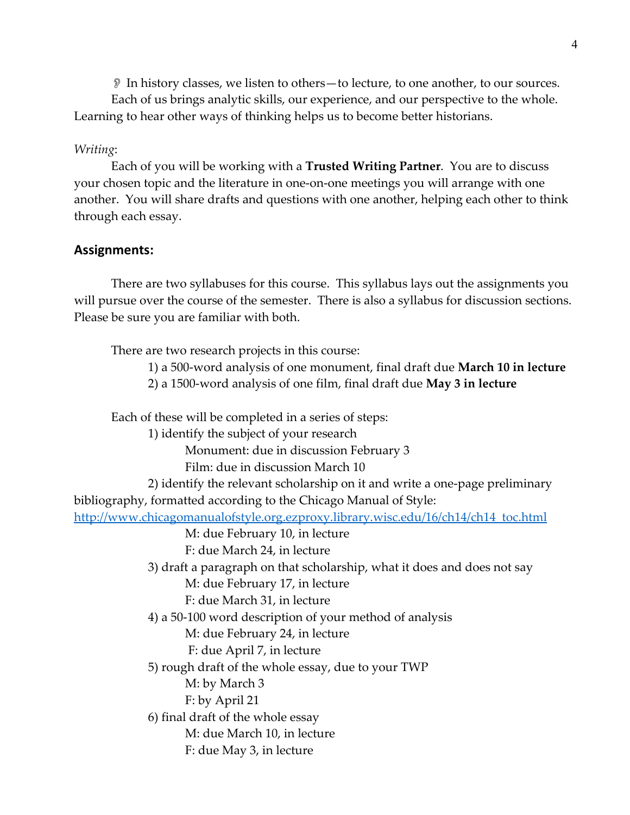In history classes, we listen to others—to lecture, to one another, to our sources.

Each of us brings analytic skills, our experience, and our perspective to the whole. Learning to hear other ways of thinking helps us to become better historians.

### *Writing*:

Each of you will be working with a **Trusted Writing Partner**. You are to discuss your chosen topic and the literature in one‐on‐one meetings you will arrange with one another. You will share drafts and questions with one another, helping each other to think through each essay.

## **Assignments:**

There are two syllabuses for this course. This syllabus lays out the assignments you will pursue over the course of the semester. There is also a syllabus for discussion sections. Please be sure you are familiar with both.

There are two research projects in this course:

- 1) a 500‐word analysis of one monument, final draft due **March 10 in lecture**
- 2) a 1500‐word analysis of one film, final draft due **May 3 in lecture**

Each of these will be completed in a series of steps:

1) identify the subject of your research

Monument: due in discussion February 3

Film: due in discussion March 10

 2) identify the relevant scholarship on it and write a one‐page preliminary bibliography, formatted according to the Chicago Manual of Style:

http://www.chicagomanualofstyle.org.ezproxy.library.wisc.edu/16/ch14/ch14\_toc.html

M: due February 10, in lecture

F: due March 24, in lecture

 3) draft a paragraph on that scholarship, what it does and does not say M: due February 17, in lecture

F: due March 31, in lecture

4) a 50‐100 word description of your method of analysis

M: due February 24, in lecture

F: due April 7, in lecture

5) rough draft of the whole essay, due to your TWP

M: by March 3

F: by April 21

6) final draft of the whole essay

M: due March 10, in lecture

F: due May 3, in lecture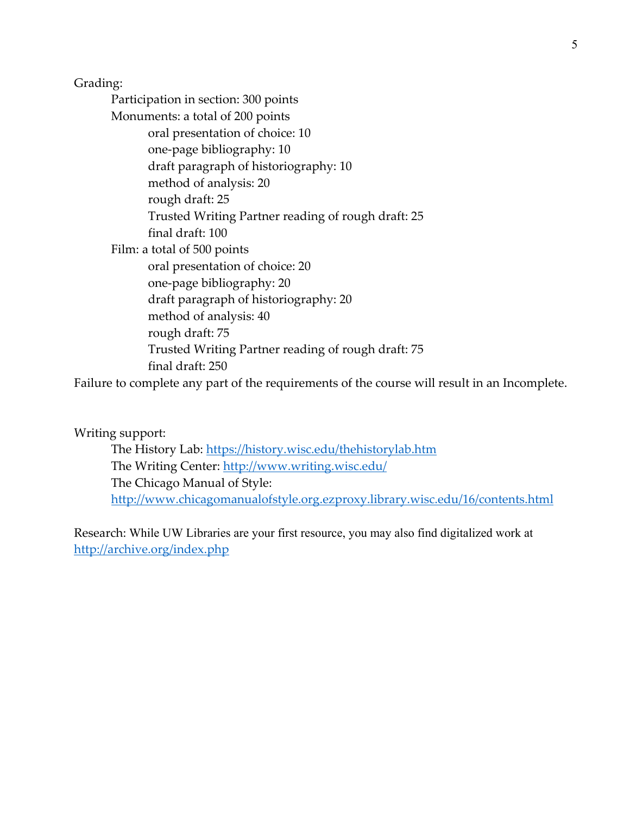Grading: Participation in section: 300 points Monuments: a total of 200 points oral presentation of choice: 10 one‐page bibliography: 10 draft paragraph of historiography: 10 method of analysis: 20 rough draft: 25 Trusted Writing Partner reading of rough draft: 25 final draft: 100 Film: a total of 500 points oral presentation of choice: 20 one‐page bibliography: 20 draft paragraph of historiography: 20 method of analysis: 40 rough draft: 75 Trusted Writing Partner reading of rough draft: 75 final draft: 250

Failure to complete any part of the requirements of the course will result in an Incomplete.

Writing support:

The History Lab: https://history.wisc.edu/thehistorylab.htm The Writing Center: http://www.writing.wisc.edu/ The Chicago Manual of Style: http://www.chicagomanualofstyle.org.ezproxy.library.wisc.edu/16/contents.html

Research: While UW Libraries are your first resource, you may also find digitalized work at http://archive.org/index.php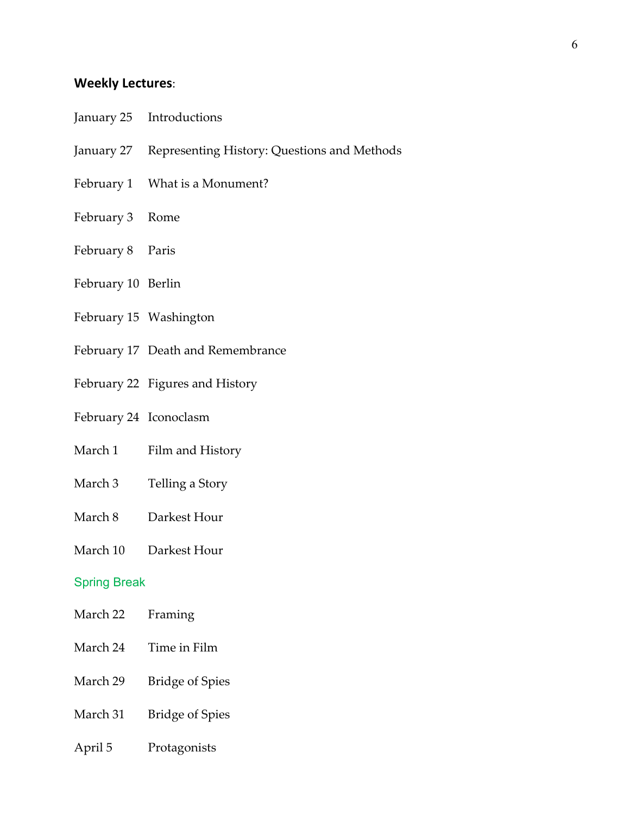### **Weekly Lectures**:

- January 25 Introductions
- January 27 Representing History: Questions and Methods
- February 1 What is a Monument?
- February 3 Rome
- February 8 Paris
- February 10 Berlin
- February 15 Washington
- February 17 Death and Remembrance
- February 22 Figures and History
- February 24 Iconoclasm
- March 1 Film and History
- March 3 Telling a Story
- March 8 Darkest Hour
- March 10 Darkest Hour

#### Spring Break

- March 22 Framing
- March 24 Time in Film
- March 29 Bridge of Spies
- March 31 Bridge of Spies
- April 5 Protagonists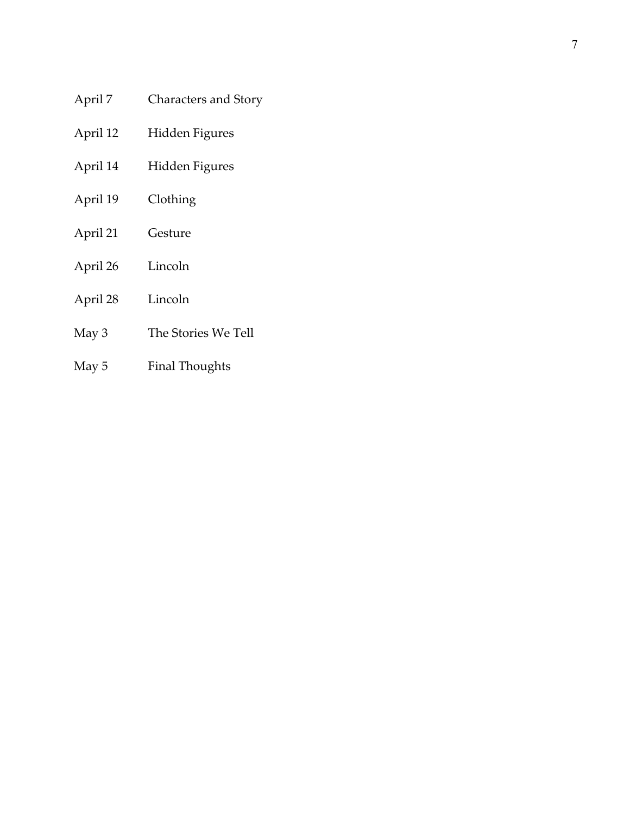- April Characters and Story
- April 12 Hidden Figures
- April 14 Hidden Figures
- April 19 Clothing
- April 21 Gesture
- April 26 Lincoln
- April 28 Lincoln
- May 3 The Stories We Tell
- May 5 Final Thoughts